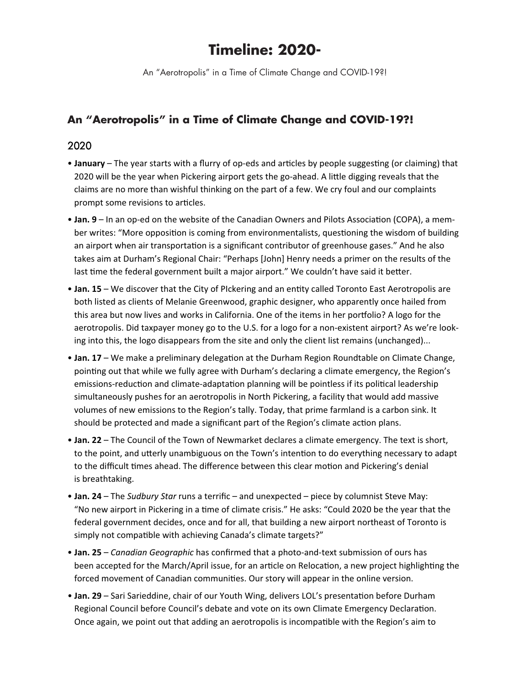## **Timeline: 2020-**

An "Aerotropolis" in a Time of Climate Change and COVID-19?!

## **An "Aerotropolis" in a Time of Climate Change and COVID-19?!**

## 2020

- **January** The year starts with a flurry of op-eds and articles by people suggesting (or claiming) that 2020 will be the year when Pickering airport gets the go-ahead. A little digging reveals that the claims are no more than wishful thinking on the part of a few. We cry foul and our complaints prompt some revisions to articles.
- **Jan. 9** In an op-ed on the website of the Canadian Owners and Pilots Association (COPA), a member writes: "More opposition is coming from environmentalists, questioning the wisdom of building an airport when air transportation is a significant contributor of greenhouse gases." And he also takes aim at Durham's Regional Chair: "Perhaps [John] Henry needs a primer on the results of the last time the federal government built a major airport." We couldn't have said it better.
- **Jan. 15** We discover that the City of PIckering and an entity called Toronto East Aerotropolis are both listed as clients of Melanie Greenwood, graphic designer, who apparently once hailed from this area but now lives and works in California. One of the items in her portfolio? A logo for the aerotropolis. Did taxpayer money go to the U.S. for a logo for a non-existent airport? As we're looking into this, the logo disappears from the site and only the client list remains (unchanged)...
- **Jan. 17** We make a preliminary delegation at the Durham Region Roundtable on Climate Change, pointing out that while we fully agree with Durham's declaring a climate emergency, the Region's emissions-reduction and climate-adaptation planning will be pointless if its political leadership simultaneously pushes for an aerotropolis in North Pickering, a facility that would add massive volumes of new emissions to the Region's tally. Today, that prime farmland is a carbon sink. It should be protected and made a significant part of the Region's climate action plans.
- **Jan. 22** The Council of the Town of Newmarket declares a climate emergency. The text is short, to the point, and utterly unambiguous on the Town's intention to do everything necessary to adapt to the difficult times ahead. The difference between this clear motion and Pickering's denial is breathtaking.
- **Jan. 24** The *Sudbury Star* runs a terrific and unexpected piece by columnist Steve May: "No new airport in Pickering in a time of climate crisis." He asks: "Could 2020 be the year that the federal government decides, once and for all, that building a new airport northeast of Toronto is simply not compatible with achieving Canada's climate targets?"
- **Jan. 25** *Canadian Geographic* has confirmed that a photo-and-text submission of ours has been accepted for the March/April issue, for an article on Relocation, a new project highlighting the forced movement of Canadian communities. Our story will appear in the online version.
- **Jan. 29** Sari Sarieddine, chair of our Youth Wing, delivers LOL's presentation before Durham Regional Council before Council's debate and vote on its own Climate Emergency Declaration. Once again, we point out that adding an aerotropolis is incompatible with the Region's aim to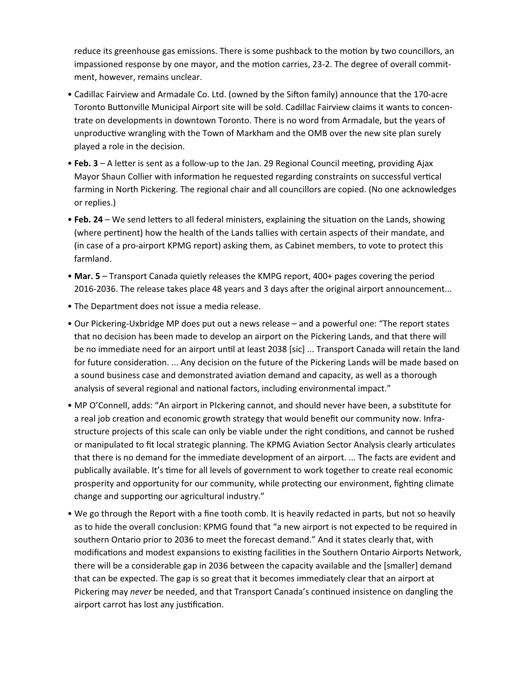reduce its greenhouse gas emissions. There is some pushback to the motion by two councillors, an impassioned response by one mayor, and the motion carries, 23-2. The degree of overall commitment, however, remains unclear.

- Cadillac Fairview and Armadale Co. Ltd. (owned by the Sifton family) announce that the 170-acre Toronto Buttonville Municipal Airport site will be sold. Cadillac Fairview claims it wants to concentrate on developments in downtown Toronto. There is no word from Armadale, but the years of unproductive wrangling with the Town of Markham and the OMB over the new site plan surely played a role in the decision.
- **Feb. 3** A letter is sent as a follow-up to the Jan. 29 Regional Council meeting, providing Ajax Mayor Shaun Collier with information he requested regarding constraints on successful vertical farming in North Pickering. The regional chair and all councillors are copied. (No one acknowledges or replies.)
- **Feb. 24** We send letters to all federal ministers, explaining the situation on the Lands, showing (where pertinent) how the health of the Lands tallies with certain aspects of their mandate, and (in case of a pro-airport KPMG report) asking them, as Cabinet members, to vote to protect this farmland.
- **Mar. 5** Transport Canada quietly releases the KMPG report, 400+ pages covering the period 2016-2036. The release takes place 48 years and 3 days after the original airport announcement...
- The Department does not issue a media release.
- Our Pickering-Uxbridge MP does put out a news release and a powerful one: "The report states that no decision has been made to develop an airport on the Pickering Lands, and that there will be no immediate need for an airport until at least 2038 [sic] ... Transport Canada will retain the land for future consideration. ... Any decision on the future of the Pickering Lands will be made based on a sound business case and demonstrated aviation demand and capacity, as well as a thorough analysis of several regional and national factors, including environmental impact."
- MP O'Connell, adds: "An airport in PIckering cannot, and should never have been, a substitute for a real job creation and economic growth strategy that would benefit our community now. Infrastructure projects of this scale can only be viable under the right conditions, and cannot be rushed or manipulated to fit local strategic planning. The KPMG Aviation Sector Analysis clearly articulates that there is no demand for the immediate development of an airport. ... The facts are evident and publically available. It's time for all levels of government to work together to create real economic prosperity and opportunity for our community, while protecting our environment, fighting climate change and supporting our agricultural industry."
- We go through the Report with a fine tooth comb. It is heavily redacted in parts, but not so heavily as to hide the overall conclusion: KPMG found that "a new airport is not expected to be required in southern Ontario prior to 2036 to meet the forecast demand." And it states clearly that, with modifications and modest expansions to existing facilities in the Southern Ontario Airports Network, there will be a considerable gap in 2036 between the capacity available and the [smaller] demand that can be expected. The gap is so great that it becomes immediately clear that an airport at Pickering may *never* be needed, and that Transport Canada's continued insistence on dangling the airport carrot has lost any justification.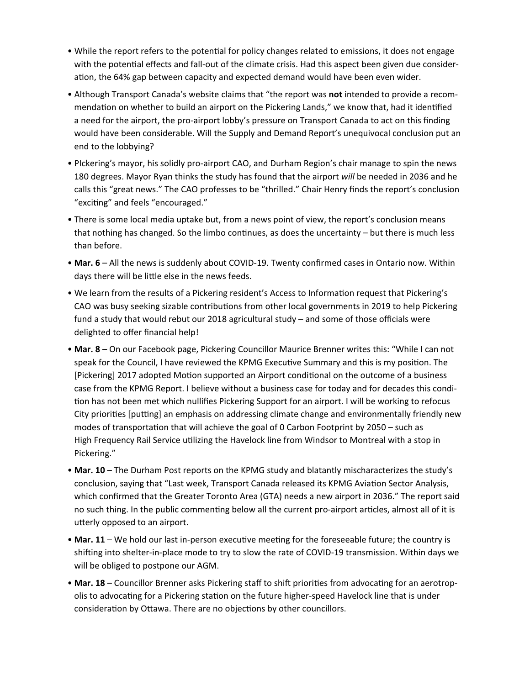- While the report refers to the potential for policy changes related to emissions, it does not engage with the potential effects and fall-out of the climate crisis. Had this aspect been given due consideration, the 64% gap between capacity and expected demand would have been even wider.
- Although Transport Canada's website claims that "the report was **not** intended to provide a recommendation on whether to build an airport on the Pickering Lands," we know that, had it identified a need for the airport, the pro-airport lobby's pressure on Transport Canada to act on this finding would have been considerable. Will the Supply and Demand Report's unequivocal conclusion put an end to the lobbying?
- PIckering's mayor, his solidly pro-airport CAO, and Durham Region's chair manage to spin the news 180 degrees. Mayor Ryan thinks the study has found that the airport *will* be needed in 2036 and he calls this "great news." The CAO professes to be "thrilled." Chair Henry finds the report's conclusion "exciting" and feels "encouraged."
- There is some local media uptake but, from a news point of view, the report's conclusion means that nothing has changed. So the limbo continues, as does the uncertainty – but there is much less than before.
- **Mar. 6** All the news is suddenly about COVID-19. Twenty confirmed cases in Ontario now. Within days there will be little else in the news feeds.
- We learn from the results of a Pickering resident's Access to Information request that Pickering's CAO was busy seeking sizable contributions from other local governments in 2019 to help Pickering fund a study that would rebut our 2018 agricultural study – and some of those officials were delighted to offer financial help!
- **Mar. 8** On our Facebook page, Pickering Councillor Maurice Brenner writes this: "While I can not speak for the Council, I have reviewed the KPMG Executive Summary and this is my position. The [Pickering] 2017 adopted Motion supported an Airport conditional on the outcome of a business case from the KPMG Report. I believe without a business case for today and for decades this condition has not been met which nullifies Pickering Support for an airport. I will be working to refocus City priorities [putting] an emphasis on addressing climate change and environmentally friendly new modes of transportation that will achieve the goal of 0 Carbon Footprint by 2050 – such as High Frequency Rail Service utilizing the Havelock line from Windsor to Montreal with a stop in Pickering."
- **Mar. 10** The Durham Post reports on the KPMG study and blatantly mischaracterizes the study's conclusion, saying that "Last week, Transport Canada released its KPMG Aviation Sector Analysis, which confirmed that the Greater Toronto Area (GTA) needs a new airport in 2036." The report said no such thing. In the public commenting below all the current pro-airport articles, almost all of it is utterly opposed to an airport.
- **Mar. 11** We hold our last in-person executive meeting for the foreseeable future; the country is shifting into shelter-in-place mode to try to slow the rate of COVID-19 transmission. Within days we will be obliged to postpone our AGM.
- **Mar. 18** Councillor Brenner asks Pickering staff to shift priorities from advocating for an aerotropolis to advocating for a Pickering station on the future higher-speed Havelock line that is under consideration by Ottawa. There are no objections by other councillors.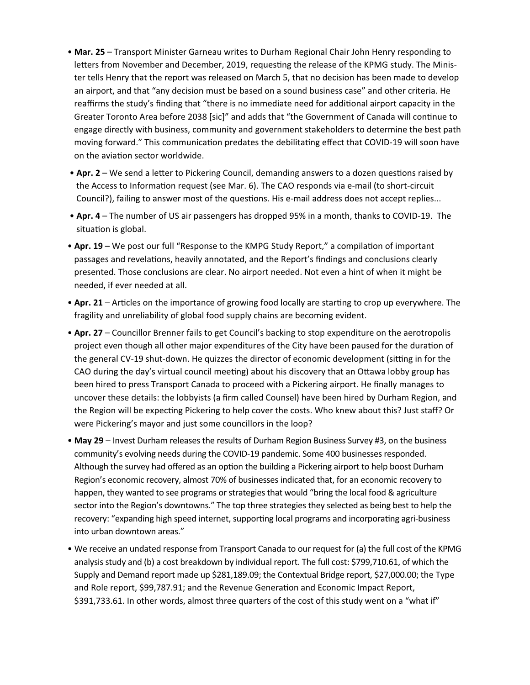- **Mar. 25** Transport Minister Garneau writes to Durham Regional Chair John Henry responding to letters from November and December, 2019, requesting the release of the KPMG study. The Minister tells Henry that the report was released on March 5, that no decision has been made to develop an airport, and that "any decision must be based on a sound business case" and other criteria. He reaffirms the study's finding that "there is no immediate need for additional airport capacity in the Greater Toronto Area before 2038 [sic]" and adds that "the Government of Canada will continue to engage directly with business, community and government stakeholders to determine the best path moving forward." This communication predates the debilitating effect that COVID-19 will soon have on the aviation sector worldwide.
- **Apr. 2** We send a letter to Pickering Council, demanding answers to a dozen questions raised by the Access to Information request (see Mar. 6). The CAO responds via e-mail (to short-circuit Council?), failing to answer most of the questions. His e-mail address does not accept replies...
- **Apr. 4** The number of US air passengers has dropped 95% in a month, thanks to COVID-19. The situation is global.
- **Apr. 19** We post our full "Response to the KMPG Study Report," a compilation of important passages and revelations, heavily annotated, and the Report's findings and conclusions clearly presented. Those conclusions are clear. No airport needed. Not even a hint of when it might be needed, if ever needed at all.
- **Apr. 21** Articles on the importance of growing food locally are starting to crop up everywhere. The fragility and unreliability of global food supply chains are becoming evident.
- **Apr. 27** Councillor Brenner fails to get Council's backing to stop expenditure on the aerotropolis project even though all other major expenditures of the City have been paused for the duration of the general CV-19 shut-down. He quizzes the director of economic development (sitting in for the CAO during the day's virtual council meeting) about his discovery that an Ottawa lobby group has been hired to press Transport Canada to proceed with a Pickering airport. He finally manages to uncover these details: the lobbyists (a firm called Counsel) have been hired by Durham Region, and the Region will be expecting Pickering to help cover the costs. Who knew about this? Just staff? Or were Pickering's mayor and just some councillors in the loop?
- **May 29** Invest Durham releases the results of Durham Region Business Survey #3, on the business community's evolving needs during the COVID-19 pandemic. Some 400 businesses responded. Although the survey had offered as an option the building a Pickering airport to help boost Durham Region's economic recovery, almost 70% of businesses indicated that, for an economic recovery to happen, they wanted to see programs or strategies that would "bring the local food & agriculture sector into the Region's downtowns." The top three strategies they selected as being best to help the recovery: "expanding high speed internet, supporting local programs and incorporating agri-business into urban downtown areas."
- We receive an undated response from Transport Canada to our request for (a) the full cost of the KPMG analysis study and (b) a cost breakdown by individual report. The full cost: \$799,710.61, of which the Supply and Demand report made up \$281,189.09; the Contextual Bridge report, \$27,000.00; the Type and Role report, \$99,787.91; and the Revenue Generation and Economic Impact Report, \$391,733.61. In other words, almost three quarters of the cost of this study went on a "what if"